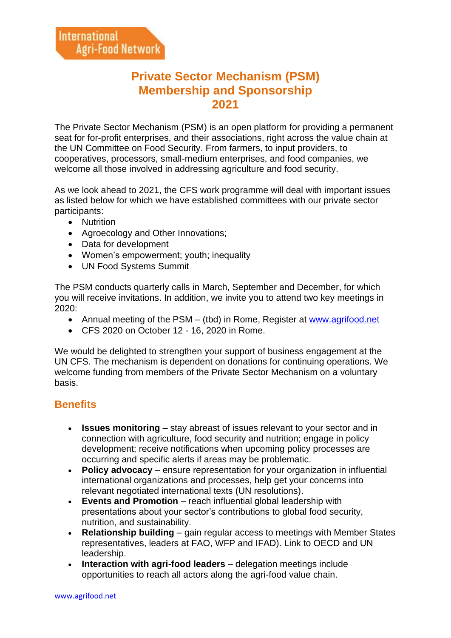# **Private Sector Mechanism (PSM) Membership and Sponsorship 2021**

The Private Sector Mechanism (PSM) is an open platform for providing a permanent seat for for-profit enterprises, and their associations, right across the value chain at the UN Committee on Food Security. From farmers, to input providers, to cooperatives, processors, small-medium enterprises, and food companies, we welcome all those involved in addressing agriculture and food security.

As we look ahead to 2021, the CFS work programme will deal with important issues as listed below for which we have established committees with our private sector participants:

- Nutrition
- Agroecology and Other Innovations;
- Data for development
- Women's empowerment; youth; inequality
- UN Food Systems Summit

The PSM conducts quarterly calls in March, September and December, for which you will receive invitations. In addition, we invite you to attend two key meetings in 2020:

- Annual meeting of the PSM (tbd) in Rome, Register at [www.agrifood.net](http://www.agrifood.net/)
- CFS 2020 on October 12 16, 2020 in Rome.

We would be delighted to strengthen your support of business engagement at the UN CFS. The mechanism is dependent on donations for continuing operations. We welcome funding from members of the Private Sector Mechanism on a voluntary basis.

## **Benefits**

- **Issues monitoring** stay abreast of issues relevant to your sector and in connection with agriculture, food security and nutrition; engage in policy development; receive notifications when upcoming policy processes are occurring and specific alerts if areas may be problematic.
- **Policy advocacy** ensure representation for your organization in influential international organizations and processes, help get your concerns into relevant negotiated international texts (UN resolutions).
- **Events and Promotion** reach influential global leadership with presentations about your sector's contributions to global food security, nutrition, and sustainability.
- **Relationship building** gain regular access to meetings with Member States representatives, leaders at FAO, WFP and IFAD). Link to OECD and UN leadership.
- **Interaction with agri-food leaders** delegation meetings include opportunities to reach all actors along the agri-food value chain.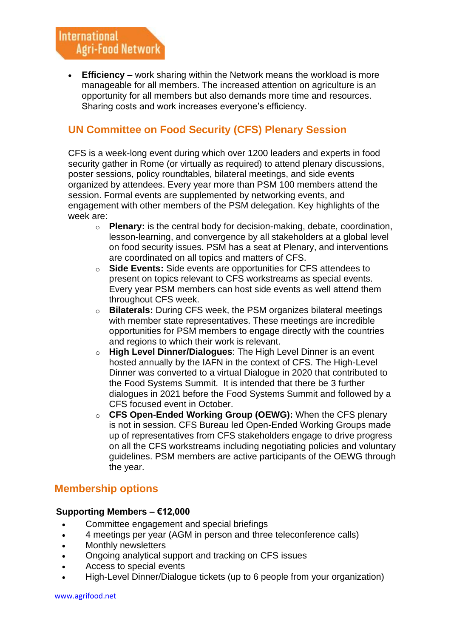• **Efficiency** – work sharing within the Network means the workload is more manageable for all members. The increased attention on agriculture is an opportunity for all members but also demands more time and resources. Sharing costs and work increases everyone's efficiency.

# **UN Committee on Food Security (CFS) Plenary Session**

CFS is a week-long event during which over 1200 leaders and experts in food security gather in Rome (or virtually as required) to attend plenary discussions, poster sessions, policy roundtables, bilateral meetings, and side events organized by attendees. Every year more than PSM 100 members attend the session. Formal events are supplemented by networking events, and engagement with other members of the PSM delegation. Key highlights of the week are:

- o **Plenary:** is the central body for decision-making, debate, coordination, lesson-learning, and convergence by all stakeholders at a global level on food security issues. PSM has a seat at Plenary, and interventions are coordinated on all topics and matters of CFS.
- o **Side Events:** Side events are opportunities for CFS attendees to present on topics relevant to CFS workstreams as special events. Every year PSM members can host side events as well attend them throughout CFS week.
- o **Bilaterals:** During CFS week, the PSM organizes bilateral meetings with member state representatives. These meetings are incredible opportunities for PSM members to engage directly with the countries and regions to which their work is relevant.
- o **High Level Dinner/Dialogues**: The High Level Dinner is an event hosted annually by the IAFN in the context of CFS. The High-Level Dinner was converted to a virtual Dialogue in 2020 that contributed to the Food Systems Summit. It is intended that there be 3 further dialogues in 2021 before the Food Systems Summit and followed by a CFS focused event in October.
- o **CFS Open-Ended Working Group (OEWG):** When the CFS plenary is not in session. CFS Bureau led Open-Ended Working Groups made up of representatives from CFS stakeholders engage to drive progress on all the CFS workstreams including negotiating policies and voluntary guidelines. PSM members are active participants of the OEWG through the year.

# **Membership options**

### **Supporting Members – €12,000**

- Committee engagement and special briefings
- 4 meetings per year (AGM in person and three teleconference calls)
- Monthly newsletters
- Ongoing analytical support and tracking on CFS issues
- Access to special events
- High-Level Dinner/Dialogue tickets (up to 6 people from your organization)